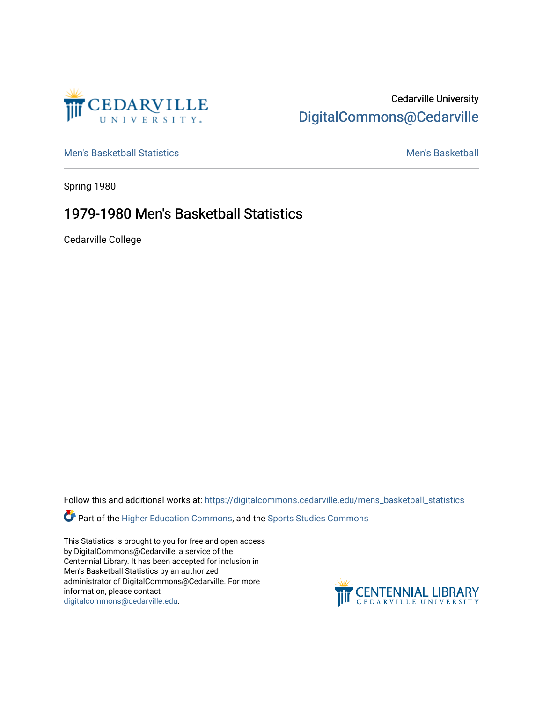

## Cedarville University [DigitalCommons@Cedarville](https://digitalcommons.cedarville.edu/)

[Men's Basketball Statistics](https://digitalcommons.cedarville.edu/mens_basketball_statistics) [Men's Basketball](https://digitalcommons.cedarville.edu/mens_basketball) 

Spring 1980

## 1979-1980 Men's Basketball Statistics

Cedarville College

Follow this and additional works at: [https://digitalcommons.cedarville.edu/mens\\_basketball\\_statistics](https://digitalcommons.cedarville.edu/mens_basketball_statistics?utm_source=digitalcommons.cedarville.edu%2Fmens_basketball_statistics%2F393&utm_medium=PDF&utm_campaign=PDFCoverPages) 

**Part of the [Higher Education Commons,](http://network.bepress.com/hgg/discipline/1245?utm_source=digitalcommons.cedarville.edu%2Fmens_basketball_statistics%2F393&utm_medium=PDF&utm_campaign=PDFCoverPages) and the Sports Studies Commons** 

This Statistics is brought to you for free and open access by DigitalCommons@Cedarville, a service of the Centennial Library. It has been accepted for inclusion in Men's Basketball Statistics by an authorized administrator of DigitalCommons@Cedarville. For more information, please contact [digitalcommons@cedarville.edu](mailto:digitalcommons@cedarville.edu).